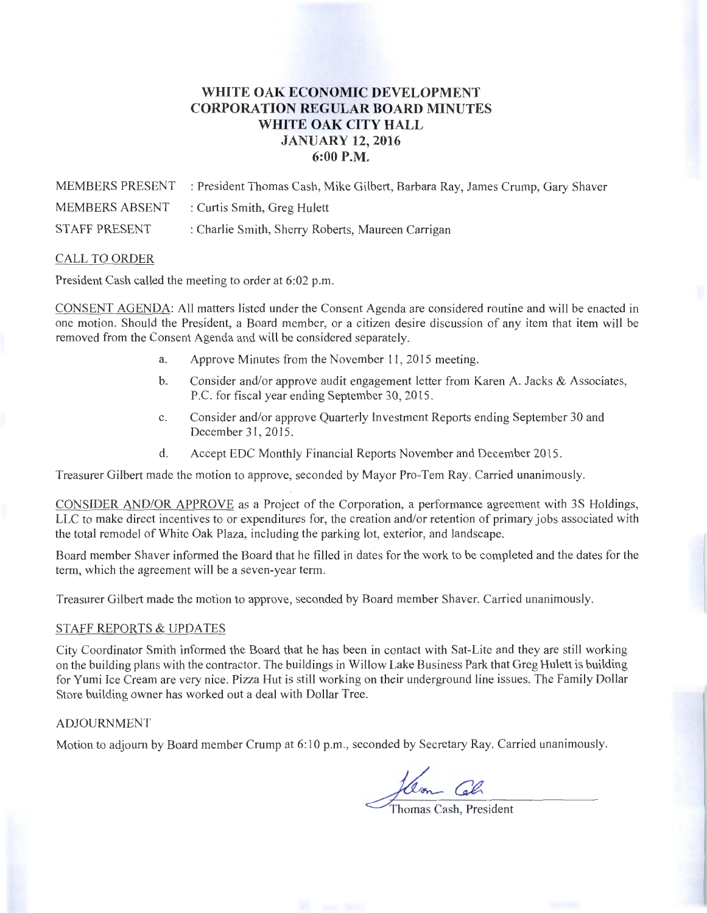## **WHITE OAK ECONOMIC DEVELOPMENT CORPORATION REGULAR BOARD MINUTES WHITE OAK CITY HALL JANUARY 12, 2016 6:00P.M.**

MEMBERS PRESENT : President Thomas Cash, Mike Gilbert, Barbara Ray, James Crump, Gary Shaver MEMBERS ABSENT : Curtis Smith, Greg Hulett STAFF PRESENT : Charlie Smith, Sherry Roberts, Maureen Carrigan

## CALL TO ORDER

President Cash called the meeting to order at 6:02 p.m.

CONSENT AGENDA: All matters listed under the Consent Agenda are considered routine and will be enacted in one motion. Should the President, a Board member, or a citizen desire discussion of any item that item will be removed from the Consent Agenda and will be considered separately.

- a. Approve Minutes from the November 11 , 2015 meeting.
- b. Consider and/or approve audit engagement letter from Karen A. Jacks & Associates, P.C. for fiscal year ending September 30,2015.
- c. Consider and/or approve Quarterly Investment Reports ending September 30 and December 31, 2015.
- d. Accept EDC Monthly Financial Reports November and December 2015 .

Treasurer Gilbert made the motion to approve, seconded by Mayor Pro-Tem Ray. Carried unanimously.

CONSIDER AND/OR APPROVE as a Project of the Corporation, a performance agreement with 3S Holdings, LLC to make direct incentives to or expenditures for, the creation and/or retention of primary jobs associated with the total remodel of White Oak Plaza, including the parking lot, exterior, and landscape.

Board member Shaver informed the Board that he filled in dates for the work to be completed and the dates for the term, which the agreement will be a seven-year term.

Treasurer Gilbert made the motion to approve, seconded by Board member Shaver. Carried unanimously.

## STAFF REPORTS & UPDATES

City Coordinator Smith informed the Board that he has been in contact with Sat-Lite and they are still working on the building plans with the contractor. The buildings in Willow Lake Business Park that Greg Hulett is building for Yumi Ice Cream are very nice. Pizza Hut is still working on their underground line issues. The Family Dollar Store building owner has worked out a deal with Dollar Tree.

## ADJOURNMENT

Motion to adjourn by Board member Crump at 6:10 p.m., seconded by Secretary Ray. Carried unanimously.

Jam Col